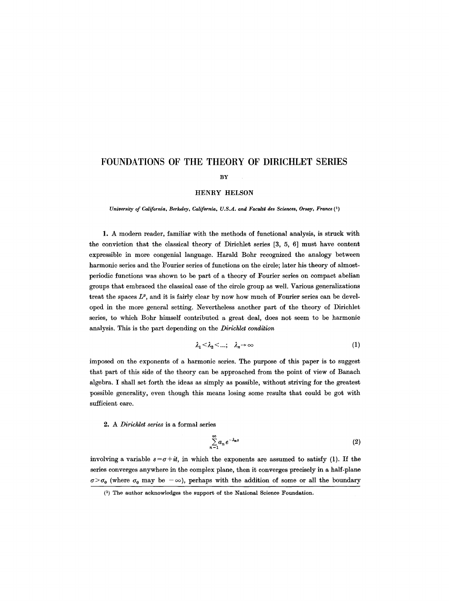# **FOUNDATIONS OF THE THEORY OF DIRICHLET SERIES**

#### BY

#### HENRY HELSON

*University of California, Berkeley, California, U.S.A. and Facult\$ des Sciences, Orsay, France (1)* 

1. A modern reader, familiar with the methods of functional analysis, is struck with the conviction that the classical theory of Dirichlet series [3, 5, 6] must have content expressible in more congenial language. Harald Bohr recognized the analogy between harmonic series and the Fourier series of functions on the circle; later his theory of almostperiodic functions was shown to be part of a theory of Fourier series on compact abelian groups that embraced the classical case of the circle group as well. Various generalizations treat the spaces  $L^p$ , and it is fairly clear by now how much of Fourier series can be developed in the more general setting. Nevertheless another part of the theory of Dirichlet series, to which Bohr himself contributed a great deal, does not seem to be harmonic analysis. This is the part depending on the *Dirichlet condition* 

$$
\lambda_1 < \lambda_2 < \dots; \quad \lambda_n \to \infty \tag{1}
$$

imposed on the exponents of a harmonic series. The purpose of this paper is to suggest that part of this side of the theory can be approached from the point of view of Banach algebra. I shall set forth the ideas as simply as possible, without striving for the greatest possible generality, even though this means losing some results that could be got with sufficient care.

*2. A Dirichlet series* is a formal series

$$
\sum_{n=1}^{\infty} a_n e^{-\lambda_n s} \tag{2}
$$

involving a variable  $s = \sigma + it$ , in which the exponents are assumed to satisfy (1). If the series converges anywhere in the complex plane, then it converges precisely in a half-plane  $\sigma > \sigma_0$  (where  $\sigma_0$  may be  $-\infty$ ), perhaps with the addition of some or all the boundary

 $(1)$  The author acknowledges the support of the National Science Foundation.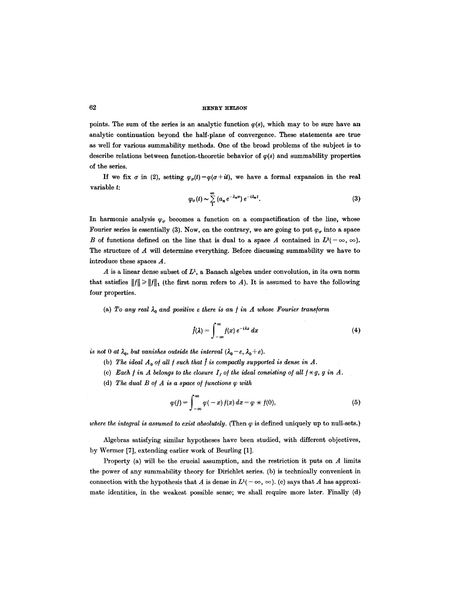points. The sum of the series is an analytic function  $\varphi(s)$ , which may to be sure have an analytic continuation beyond the half-plane of convergence. These statements are true as well for various summability methods. One of the broad problems of the subject is to describe relations between function-theoretic behavior of  $\varphi(s)$  and summability properties of the series.

If we fix  $\sigma$  in (2), setting  $\varphi_{\sigma}(t) = \varphi(\sigma + it)$ , we have a formal expansion in the real variable t:

$$
\varphi_{\sigma}(t) \sim \sum_{1}^{\infty} (a_n e^{-\lambda_n \sigma}) e^{-i\lambda_n t}.
$$
 (3)

In harmonic analysis  $\varphi_{\sigma}$  becomes a function on a compactification of the line, whose Fourier series is essentially (3). Now, on the contrary, we are going to put  $\varphi_{\sigma}$  into a space B of functions defined on the line that is dual to a space A contained in  $L^{1}(-\infty, \infty)$ . The structure of A will determine everything. Before discussing summability we have to introduce these spaces A.

A is a linear dense subset of  $L^1$ , a Banach algebra under convolution, in its own norm that satisfies  $||f|| \ge ||f||_1$  (the first norm refers to A). It is assumed to have the following four properties.

(a) To any real  $\lambda_0$  and positive  $\varepsilon$  there is an f in A whose Fourier transform

$$
\hat{f}(\lambda) = \int_{-\infty}^{\infty} f(x) e^{-i\lambda x} dx
$$
 (4)

*is not* 0 *at*  $\lambda_0$ , *but vanishes outside the interval*  $(\lambda_0 - \varepsilon, \lambda_0 + \varepsilon)$ .

- (b) The ideal  $A_0$  of all f such that f is compactly supported is dense in A.
- (c) *Each f in A belongs to the closure*  $I_f$  *of the ideal consisting of all*  $f \star g$ *, g in A.*
- (d) The dual  $B$  of  $A$  is a space of functions  $\varphi$  with

$$
\varphi(f) = \int_{-\infty}^{\infty} \varphi(-x) f(x) dx = \varphi \times f(0), \qquad (5)
$$

*where the integral is assumed to exist absolutely.* (Then  $\varphi$  is defined uniquely up to null-sets.)

Algebras satisfying similar hypotheses have been studied, with different objectives, by Wermer [7], extending earlier work of Beurling [1].

Property (a) will be the crucial assumption, and the restriction it puts on  $A$  limits the power of any summability theory for Dirichlet series. (b) is technically convenient in connection with the hypothesis that A is dense in  $L^{1}(-\infty, \infty)$ . (c) says that A has approximate identities, in the weakest possible sense; we shall require more later. Finally (d)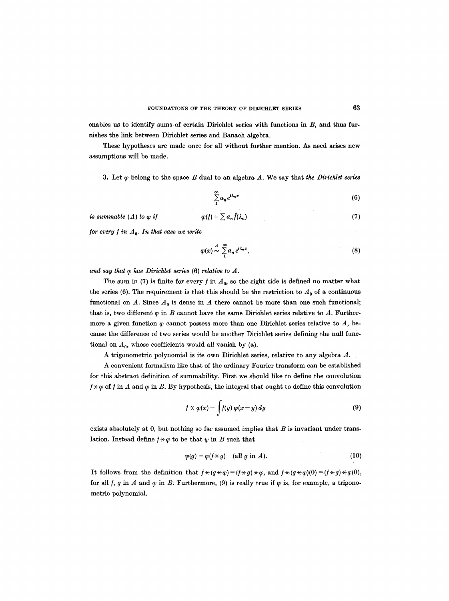enables us to identify sums of certain Dirichlet series with functions in  $B$ , and thus furnishes the link between Diriehlet series and Banach algebra.

These hypotheses are made once for all without further mention. As need arises new assumptions will be made.

3. Let  $\varphi$  belong to the space B dual to an algebra A. We say that *the Dirichlet series* 

$$
\sum_{1}^{\infty} a_n e^{i\lambda_n x} \tag{6}
$$

is summable (A) to 
$$
\varphi
$$
 if  $\varphi(f) = \sum a_n \hat{f}(\lambda_n)$  (7)

*/or every / in A o. In that case we write* 

$$
\varphi(x) \stackrel{A}{\sim} \sum_{1}^{\infty} a_n e^{i\lambda_n x},\tag{8}
$$

*and say that q~ has Dirichlet series* (6) *relative to A.* 

The sum in (7) is finite for every f in  $A_0$ , so the right side is defined no matter what the series (6). The requirement is that this should be the restriction to  $A_0$  of a continuous functional on A. Since  $A_0$  is dense in A there cannot be more than one such functional; that is, two different  $\varphi$  in B cannot have the same Dirichlet series relative to A. Furthermore a given function  $\varphi$  cannot possess more than one Dirichlet series relative to A, because the difference of two series would be another Dirichlet series defining the null functional on  $A_0$ , whose coefficients would all vanish by (a).

A trigonometric polynomial is its own Dirichlet series, relative to any algebra A.

A convenient formalism like that of the ordinary Fourier transform can be established for this abstract definition of summability. First we should like to define the convolution  $f \star \varphi$  of f in A and  $\varphi$  in B. By hypothesis, the integral that ought to define this convolution

$$
f \times \varphi(x) = \int f(y) \, \varphi(x - y) \, dy \tag{9}
$$

exists absolutely at 0, but nothing so far assumed implies that  $B$  is invariant under translation. Instead define  $f \times \varphi$  to be that  $\psi$  in B such that

$$
\psi(g) = \varphi(f \star g) \quad \text{(all } g \text{ in } A).
$$
\n(10)

It follows from the definition that  $f \times (g \times \varphi) = (f \times g) \times \varphi$ , and  $f \times (g \times \varphi)(0) = (f \times g) \times \varphi(0)$ , for all  $f$ ,  $g$  in  $A$  and  $\varphi$  in  $B$ . Furthermore, (9) is really true if  $\varphi$  is, for example, a trigonometric polynomial.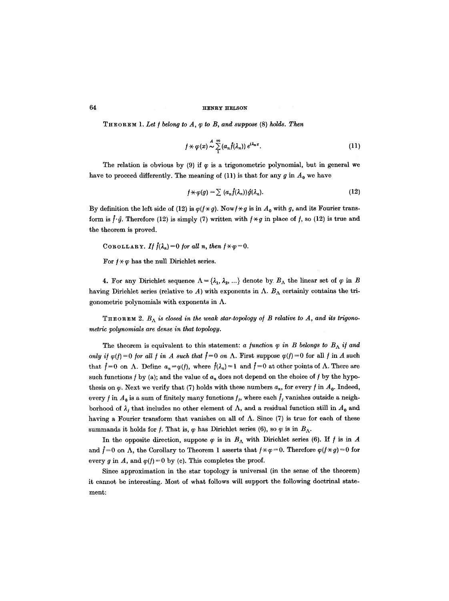THEOREM 1. *Let ] belong to A, q~ to B, and suppose* (8) ho/ds. *Then* 

$$
f \star \varphi(x) \stackrel{A}{\sim} \sum_{1}^{\infty} (a_n \hat{f}(\lambda_n)) e^{i \lambda_n x}.
$$
 (11)

The relation is obvious by (9) if  $\varphi$  is a trigonometric polynomial, but in general we have to proceed differently. The meaning of (11) is that for any g in  $A_0$  we have

$$
f \star \varphi(g) = \sum (a_n f(\lambda_n)) \hat{g}(\lambda_n). \tag{12}
$$

By definition the left side of (12) is  $\varphi$ ( $f \star g$ ). Now  $f \star g$  is in  $A_0$  with g, and its Fourier transform is  $\hat{f} \cdot \hat{g}$ . Therefore (12) is simply (7) written with  $f \star g$  in place of f, so (12) is true and the theorem is proved.

COROLLARY. If 
$$
\hat{f}(\lambda_n) = 0
$$
 for all n, then  $f \times \varphi = 0$ .

For  $f \times \varphi$  has the null Dirichlet series.

4. For any Dirichlet sequence  $\Lambda = {\lambda_1, \lambda_2, ...}$  denote by.  $B_\Lambda$  the linear set of  $\varphi$  in B having Dirichlet series (relative to A) with exponents in  $\Lambda$ .  $B_{\Lambda}$  certainly contains the trigonometric polynomials with exponents in  $\Lambda$ .

THEOREM 2.  $B_{\Lambda}$  is closed in the weak star-topology of B relative to A, and its trigono*metric polynomials are dense in that topology.* 

The theorem is equivalent to this statement: *a function*  $\varphi$  *in B belongs to B<sub>A</sub> if and only if*  $\varphi(f) = 0$  *for all f in A such that*  $\hat{f} = 0$  *on*  $\Lambda$ . First suppose  $\varphi(f) = 0$  for all f in A such that  $f=0$  on  $\Lambda$ . Define  $a_n=\varphi(f)$ , where  $f(\lambda_n)=1$  and  $f=0$  at other points of  $\Lambda$ . There are such functions  $f$  by (a); and the value of  $a_n$  does not depend on the choice of  $f$  by the hypothesis on  $\varphi$ . Next we verify that (7) holds with these numbers  $a_n$ , for every f in  $A_0$ . Indeed, every f in  $A_0$  is a sum of finitely many functions  $f_j$ , where each  $\hat{f}_j$  vanishes outside a neighborhood of  $\lambda$ , that includes no other element of  $\Lambda$ , and a residual function still in  $A_0$  and having a Fourier transform that vanishes on all of  $\Lambda$ . Since (7) is true for each of these summands it holds for f. That is,  $\varphi$  has Dirichlet series (6), so  $\varphi$  is in  $B_{\Lambda}$ .

In the opposite direction, suppose  $\varphi$  is in  $B_{\Lambda}$  with Dirichlet series (6). If f is in A and  $\hat{f}=0$  on  $\Lambda$ , the Corollary to Theorem 1 asserts that  $f \star \varphi = 0$ . Therefore  $\varphi(f \star g)=0$  for every g in A, and  $\varphi(f)=0$  by (c). This completes the proof.

Since approximation in the star topology is universal (in the sense of the theorem) it cannot be interesting. Most of what follows will support the following doctrinal statement: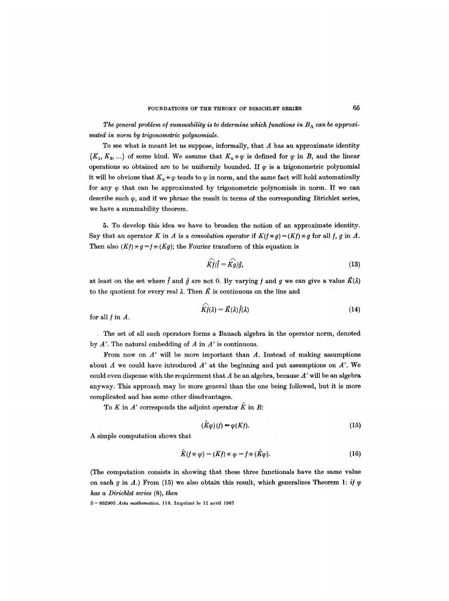The general problem of summability is to determine which functions in  $B_\Lambda$  can be approxi*mated in norm by trigonometric polynomials.* 

To see what is meant let us suppose, informally, that  $A$  has an approximate identity  ${K_1, K_2, ...}$  of some kind. We assume that  $K_n \times \varphi$  is defined for  $\varphi$  in B, and the linear operations so obtained are to be uniformly bounded. If  $\varphi$  is a trigonometric polynomial it will be obvious that  $K_n \star \varphi$  tends to  $\varphi$  in norm, and the same fact will hold automatically for any  $\varphi$  that can be approximated by trigonometric polynomials in norm. If we can describe such  $\varphi$ , and if we phrase the result in terms of the corresponding Dirichlet series, we have a summability theorem.

5. To develop this idea we have to broaden the notion of an approximate identity. Say that an operator K in A is a *convolution operator* if  $K(f \times g) = (Kf) \times g$  for all f, g in A. Then also  $(Kf) \times g = f \times (Kg)$ ; the Fourier transform of this equation is

$$
\widehat{Kf}/f = \widehat{Kg}/f,\tag{13}
$$

at least on the set where f and  $\hat{g}$  are not 0. By varying f and g we can give a value  $\hat{K}(\lambda)$ to the quotient for every real  $\lambda$ . Then  $\hat{K}$  is continuous on the line and

$$
K\hat{f}(\lambda) = \hat{K}(\lambda)\hat{f}(\lambda) \tag{14}
$$

for all  $f$  in  $A$ .

The set of all such operators forms a Banach algebra in the operator norm, denoted by A'. The natural embedding of A in *A'* is continuous.

From now on  $A'$  will be more important than  $A$ . Instead of making assumptions about  $A$  we could have introduced  $A'$  at the beginning and put assumptions on  $A'$ . We could even dispense with the requirement that A be an algebra, because *A'* will be an algebra anyway. This approach may be more general than the one being followed, but it is more complicated and has some other disadvantages.

To  $K$  in  $A'$  corresponds the adjoint operator  $\tilde{K}$  in  $B$ :

$$
(K\varphi)(f) = \varphi(Kf). \tag{15}
$$

A simple computation shows that

$$
K(f \star \varphi) = (Kf) \star \varphi = f \star (K\varphi). \tag{16}
$$

(The computation consists in showing that these three functionals have the same value on each g in A.) From (15) we also obtain this result, which generalizes Theorem 1: *if*  $\varphi$ *has a Dirichlet series* (8), *then* 

5 - 662905 *Acta mathematica*. 118. Imprimé le 11 avril 1967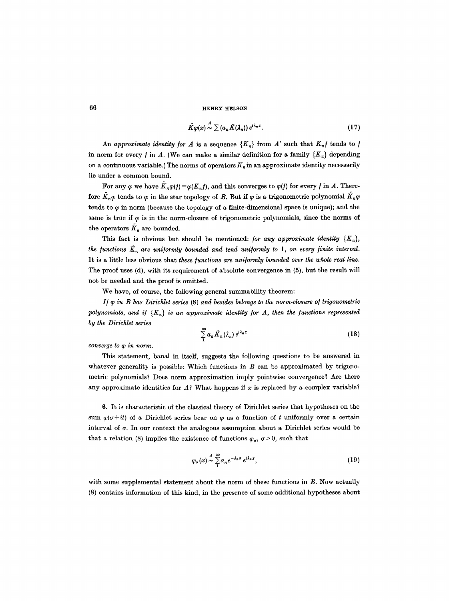$$
\tilde{K}\varphi(x)\stackrel{A}{\sim}\sum\left(a_n\hat{K}(\lambda_n)\right)e^{i\lambda_n x}.\tag{17}
$$

An approximate identity for A is a sequence  ${K_n}$  from A' such that  $K_n f$  tends to f in norm for every f in A. (We can make a similar definition for a family  $\{K_u\}$  depending on a continuous variable.) The norms of operators  $K_n$  in an approximate identity necessarily lie under a common bound.

For any  $\varphi$  we have  $K_n \varphi(t) = \varphi(K_n f)$ , and this converges to  $\varphi(t)$  for every f in A. Therefore  $K_n\varphi$  tends to  $\varphi$  in the star topology of B. But if  $\varphi$  is a trigonometric polynomial  $K_n\varphi$ tends to  $\varphi$  in norm (because the topology of a finite-dimensional space is unique); and the same is true if  $\varphi$  is in the norm-closure of trigonometric polynomials, since the norms of the operators  $\tilde{K}_n$  are bounded.

This fact is obvious but should be mentioned: *for any approximate identity*  ${K_n}$ , the functions  $\hat{K}_n$  are uniformly bounded and tend uniformly to 1, on every finite interval. It is a little less obvious that *these functions are uniformly bounded over the whole real line.*  The proof uses (d), with its requirement of absolute convergence in (5), but the result will not be needed and the proof is omitted.

We have, of course, the following general summability theorem:

*I/q~ in B has Dirichlet series* (8) *and besides belongs to the norm-closure of trigonometric*  polynomials, and if  ${K_n}$  is an approximate identity for A, then the functions represented *by the Dirichlet series* 

$$
\sum_{1}^{\infty} a_n \hat{K}_n(\lambda_n) e^{i\lambda_n x} \tag{18}
$$

*converge to*  $\varphi$  *in norm.* 

This statement, banal in itself, suggests the following questions to be answered in whatever generality is possible: Which functions in  $B$  can be approximated by trigonometric polynomials? Does norm approximation imply pointwise convergence? Are there any approximate identities for  $A$ ? What happens if x is replaced by a complex variable?

6. It is characteristic of the classical theory of Dirichlet series that hypotheses on the sum  $\varphi(\sigma + it)$  of a Dirichlet series bear on  $\varphi$  as a function of t uniformly over a certain interval of  $\sigma$ . In our context the analogous assumption about a Dirichlet series would be that a relation (8) implies the existence of functions  $\varphi_{\sigma}$ ,  $\sigma > 0$ , such that

$$
\varphi_{\sigma}(x) \stackrel{A}{\sim} \sum_{1}^{\infty} a_n e^{-\lambda_n \sigma} e^{i\lambda_n x}, \qquad (19)
$$

with some supplemental statement about the norm of these functions in B. Now actually (8) contains information of this kind, in the presence of some additional hypotheses about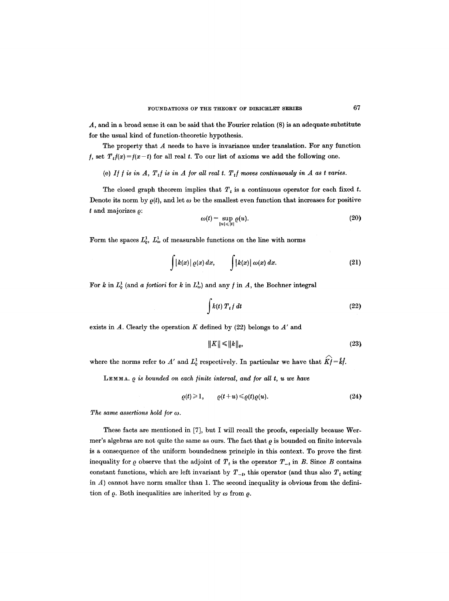A, and in a broad sense it can be said that the Fourier relation (8) is an adequate substitute for the usual kind of function-theoretic hypothesis.

The property that  $A$  needs to have is invariance under translation. For any function *f*, set  $T_t f(x) = f(x-t)$  for all real t. To our list of axioms we add the following one.

#### (e) If  $f$  is in  $A$ ,  $T_tf$  is in  $A$  for all real  $t$ .  $T_tf$  moves continuously in  $A$  as  $t$  varies.

The closed graph theorem implies that  $T_t$  is a continuous operator for each fixed t. Denote its norm by  $\rho(t)$ , and let  $\omega$  be the smallest even function that increases for positive  $t$  and majorizes  $\rho$ :

$$
\omega(t) = \sup_{|u| \leq |t|} \varrho(u). \tag{20}
$$

Form the spaces  $L_p^1$ ,  $L_p^1$  of measurable functions on the line with norms

$$
\int |k(x)| \varrho(x) dx, \qquad \int |k(x)| \omega(x) dx.
$$
 (21)

For k in  $L^1_{\varrho}$  (and *a fortiori* for k in  $L^1_{\varrho}$ ) and any f in A, the Bochner integral

$$
\int k(t) T_t f dt
$$
 (22)

exists in  $A$ . Clearly the operation  $K$  defined by (22) belongs to  $A'$  and

$$
||K|| \le ||k||_{\varrho}, \tag{23}
$$

where the norms refer to  $A'$  and  $L^1_{\varrho}$  respectively. In particular we have that  $\widehat{K}$ *f*= $\widehat{k}$ *f*.

 $L$ EMMA.  $\rho$  is bounded on each finite interval, and for all  $t$ ,  $u$  we have

$$
\varrho(t) \geq 1, \qquad \varrho(t+u) \leq \varrho(t) \varrho(u). \tag{24}
$$

The same assertions hold for  $\omega$ .

These facts are mentioned in [7], but I will recall the proofs, especially because Wermer's algebras are not quite the same as ours. The fact that  $\varrho$  is bounded on finite intervals is a consequence of the uniform boundedness principle in this context. To prove the first inequality for  $\varrho$  observe that the adjoint of  $T_t$  is the operator  $T_{-t}$  in B. Since B contains constant functions, which are left invariant by  $T_{-t}$ , this operator (and thus also  $T_t$  acting in  $A$ ) cannot have norm smaller than 1. The second inequality is obvious from the definition of  $\rho$ . Both inequalities are inherited by  $\omega$  from  $\rho$ .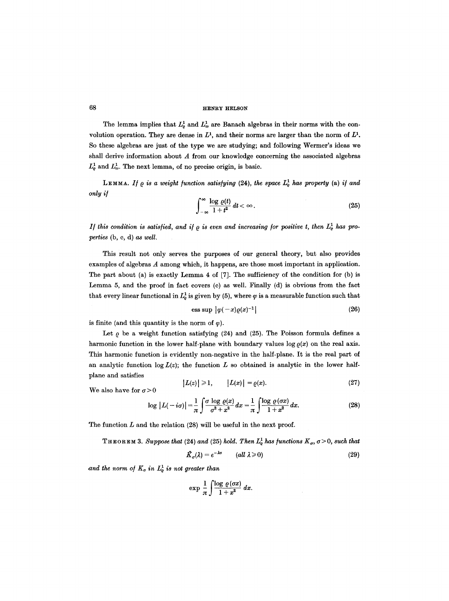The lemma implies that  $L^1_{\varrho}$  and  $L^1_{\omega}$  are Banach algebras in their norms with the convolution operation. They are dense in  $L^1$ , and their norms are larger than the norm of  $L^1$ . So these algebras are just of the type we are studying; and following Wermer's ideas we shall derive information about  $A$  from our knowledge concerning the associated algebras  $L^1_{\varrho}$  and  $L^1_{\omega}$ . The next lemma, of no precise origin, is basic.

LEMMA. If  $\rho$  is a weight function satisfying (24), the space  $L^1_\rho$  has property (a) if and *only i/* 

$$
\int_{-\infty}^{\infty} \frac{\log \varrho(t)}{1+t^2} dt < \infty.
$$
 (25)

*If this condition is satisfied, and if*  $\rho$  *is even and increasing for positive t, then*  $L^1_\rho$  *has pro-Terries* (b, c, d) as *well.* 

This result not only serves the purposes of our general theory, but also provides examples of algebras A among which, it happens, are those most important in application. The part about (a) is exactly Lemma 4 of [7]. The sufficiency of the condition for (b) is Lemma 5, and the proof in fact covers (c) as well. Finally (d) is obvious from the fact that every linear functional in  $L^1_\rho$  is given by (5), where  $\varphi$  is a measurable function such that

$$
\text{ess sup } |\varphi(-x)\varrho(x)^{-1}| \tag{26}
$$

is finite (and this quantity is the norm of  $\varphi$ ).

Let  $\rho$  be a weight function satisfying (24) and (25). The Poisson formula defines a harmonic function in the lower half-plane with boundary values log  $\varrho(x)$  on the real axis. This harmonic function is evidently non-negative in the half-plane. It is the real part of an analytic function  $\log L(z)$ ; the function L so obtained is analytic in the lower halfplane and satisfies

$$
|L(z)| \geq 1, \qquad |L(x)| = \varrho(x). \tag{27}
$$

We also have for  $\sigma > 0$ 

$$
\log|L(-i\sigma)| = \frac{1}{\pi}\int \frac{\sigma \log \varrho(x)}{\sigma^2 + x^2} dx = \frac{1}{\pi}\int \frac{\log \varrho(\sigma x)}{1 + x^2} dx.
$$
 (28)

The function  $L$  and the relation  $(28)$  will be useful in the next proof.

**THEOREM 3.** Suppose that (24) and (25) hold. Then  $L^1_\varrho$  has functions  $K_\sigma$ ,  $\sigma > 0$ , such that

$$
\hat{K}_{\sigma}(\lambda) = e^{-\lambda \sigma} \qquad (all \ \lambda \geqslant 0)
$$
\n<sup>(29)</sup>

and the norm of  $K_{\sigma}$  in  $L^1_{\rho}$  is not greater than

$$
\exp \frac{1}{\pi} \int \frac{\log \varrho (\sigma x)}{1+x^2} \, dx.
$$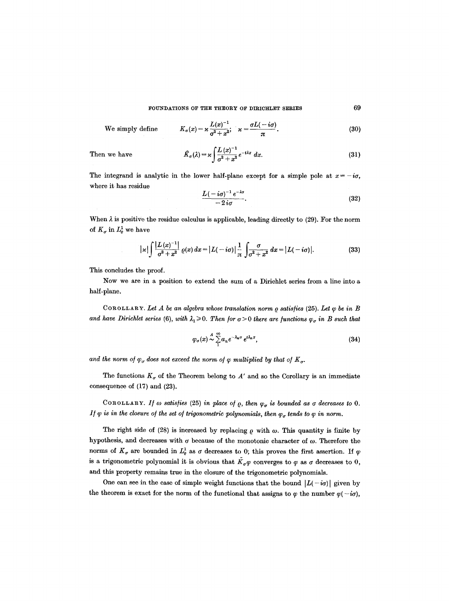FOUNDATIONS OF THE THEORY OF DIRICHLET SERIES 69

We simply define

$$
K_{\sigma}(x)=\varkappa\frac{L(x)^{-1}}{\sigma^2+x^2};\quad \varkappa=\frac{\sigma L(-i\sigma)}{\pi}.
$$
\n(30)

Then we have

$$
\hat{K}_{\sigma}(\lambda) = \varkappa \int \frac{L(x)^{-1}}{\sigma^2 + x^2} e^{-i\lambda x} dx.
$$
\n(31)

The integrand is analytic in the lower half-plane except for a simple pole at  $x = -i\sigma$ , where it has residue

$$
\frac{L(-i\sigma)^{-1}e^{-\lambda\sigma}}{-2i\sigma}.
$$
 (32)

When  $\lambda$  is positive the residue calculus is applicable, leading directly to (29). For the norm of  $K_{\sigma}$  in  $L^1_{\varrho}$  we have

$$
|x| \int \frac{|L(x)^{-1}|}{\sigma^2 + x^2} \varrho(x) \, dx = |L(-i\sigma)| \frac{1}{\pi} \int \frac{\sigma}{\sigma^2 + x^2} \, dx = |L(-i\sigma)|. \tag{33}
$$

This concludes the proof.

Now we are in a position to extend the sum of a Dirichlet series from a line into a half-plane.

COROLLARY. Let A be an algebra whose translation norm  $\rho$  satisfies (25). Let  $\varphi$  be in B and have Dirichlet series (6), with  $\lambda_1 \geq 0$ . Then for  $\sigma > 0$  there are functions  $\varphi_{\sigma}$  in B such that

$$
\varphi_{\sigma}(x) \stackrel{A}{\sim} \sum_{1}^{\infty} a_n e^{-\lambda_n \sigma} e^{i\lambda_n x}, \tag{34}
$$

and the norm of  $\varphi_{\sigma}$  does not exceed the norm of  $\varphi$  multiplied by that of  $K_{\sigma}$ .

The functions  $K_{\sigma}$  of the Theorem belong to A' and so the Corollary is an immediate consequence of (17) and (23),

COROLLARY. If  $\omega$  satisfies (25) in place of  $\rho$ , then  $\varphi_{\sigma}$  is bounded as  $\sigma$  decreases to 0. *If*  $\varphi$  is in the closure of the set of trigonometric polynomials, then  $\varphi_{\sigma}$  tends to  $\varphi$  in norm.

The right side of (28) is increased by replacing  $\rho$  with  $\omega$ . This quantity is finite by hypothesis, and decreases with  $\sigma$  because of the monotonic character of  $\omega$ . Therefore the norms of  $K_{\sigma}$  are bounded in  $L_{\varrho}^1$  as  $\sigma$  decreases to 0; this proves the first assertion. If  $\varphi$ is a trigonometric polynomial it is obvious that  $K_{\sigma}\varphi$  converges to  $\varphi$  as  $\sigma$  decreases to 0, and this property remains true in the closure of the trigonometric polynomials.

One can see in the case of simple weight functions that the bound  $|L(-i\sigma)|$  given by the theorem is exact for the norm of the functional that assigns to  $\varphi$  the number  $\varphi(-i\sigma)$ ,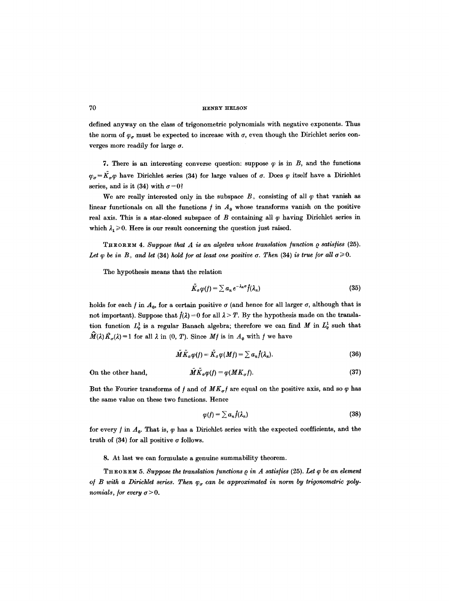defined anyway on the class of trigonometric polynomials with negative exponents. Thus the norm of  $\varphi_{\sigma}$  must be expected to increase with  $\sigma$ , even though the Dirichlet series converges more readily for large  $\sigma$ .

7. There is an interesting converse question: suppose  $\varphi$  is in B, and the functions  $\varphi_{\sigma} = \tilde{K}_{\sigma}\varphi$  have Dirichlet series (34) for large values of  $\sigma$ . Does  $\varphi$  itself have a Dirichlet series, and is it (34) with  $\sigma = 0$ ?

We are really interested only in the subspace  $B_+$  consisting of all  $\varphi$  that vanish as linear functionals on all the functions  $f$  in  $A_0$  whose transforms vanish on the positive real axis. This is a star-closed subspace of B containing all  $\varphi$  having Dirichlet series in which  $\lambda_1 \geq 0$ . Here is our result concerning the question just raised.

THEOREM 4. Suppose that A is an algebra whose translation function  $\rho$  satisfies (25). *Let q be in B<sub>+</sub> and let (34) hold for at least one positive*  $\sigma$ *. Then (34) is true for all*  $\sigma \ge 0$ *.* 

The hypothesis means that the relation

$$
\tilde{K}_{\sigma}\varphi(f)=\sum a_{n}e^{-\lambda_{n}\sigma}\hat{f}(\lambda_{n})
$$
\n(35)

holds for each  $f$  in  $A_0$ , for a certain positive  $\sigma$  (and hence for all larger  $\sigma$ , although that is not important). Suppose that  $f(\lambda) = 0$  for all  $\lambda > T$ . By the hypothesis made on the translation function  $L^1_e$  is a regular Banach algebra; therefore we can find M in  $L^1_e$  such that  $\hat{M}(\lambda)\hat{K}_{\sigma}(\lambda) = 1$  for all  $\lambda$  in  $(0, T)$ . Since  $Mf$  is in  $A_0$  with f we have

$$
\tilde{M}\tilde{K}_{\sigma}\varphi(f)=\tilde{K}_{\sigma}\varphi(Mf)=\sum a_{n}\hat{f}(\lambda_{n}).
$$
\n(36)

On the other hand,

$$
\tilde{M}K_{\sigma}\varphi(f) = \varphi(MK_{\sigma}f). \tag{37}
$$

But the Fourier transforms of  $f$  and of  $MK_\sigma f$  are equal on the positive axis, and so  $\varphi$  has the same value on these two functions. Hence

$$
\varphi(f) = \sum a_n \hat{f}(\lambda_n) \tag{38}
$$

for every  $f$  in  $A_0$ . That is,  $\varphi$  has a Dirichlet series with the expected coefficients, and the truth of (34) for all positive  $\sigma$  follows.

8. At last we can formulate a genuine summability theorem.

**THEOREM 5.** Suppose the translation functions  $\rho$  in A satisfies (25). Let  $\varphi$  be an element of *B* with a Dirichlet series. Then  $\varphi_{\sigma}$  can be approximated in norm by trigonometric poly*nomials, for every*  $\sigma > 0$ *.*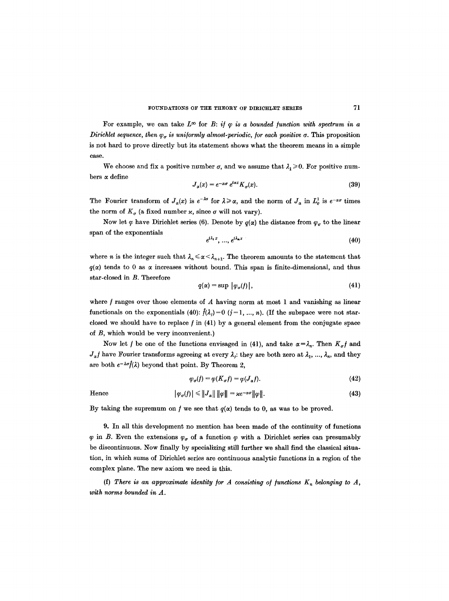For example, we can take  $L^\infty$  for B: *if*  $\varphi$  *is a bounded function with spectrum in a Dirichlet sequence, then*  $\varphi_{\sigma}$  *is uniformly almost-periodic, for each positive*  $\sigma$ *. This proposition* is not hard to prove directly but its statement shows what the theorem means in a simple case.

We choose and fix a positive number  $\sigma$ , and we assume that  $\lambda_1 \geq 0$ . For positive numbers  $\alpha$  define

$$
J_{\alpha}(x) = e^{-\alpha \sigma} e^{i\alpha x} K_{\sigma}(x). \tag{39}
$$

The Fourier transform of  $J_{\alpha}(x)$  is  $e^{-\lambda\sigma}$  for  $\lambda \geq \alpha$ , and the norm of  $J_{\alpha}$  in  $L^1_{\varrho}$  is  $e^{-\alpha\sigma}$  times the norm of  $K_{\sigma}$  (a fixed number  $\varkappa$ , since  $\sigma$  will not vary).

Now let  $\varphi$  have Dirichlet series (6). Denote by  $q(\alpha)$  the distance from  $\varphi_{\sigma}$  to the linear span of the exponentials

$$
e^{i\lambda_1 x}, \dots, e^{i\lambda_n x} \tag{40}
$$

where *n* is the integer such that  $\lambda_n \leq \alpha < \lambda_{n+1}$ . The theorem amounts to the statement that  $q(x)$  tends to 0 as  $x$  increases without bound. This span is finite-dimensional, and thus star-closed in B. Therefore

$$
q(\alpha) = \sup \left| \varphi_{\sigma}(f) \right|, \tag{41}
$$

where  $f$  ranges over those elements of  $A$  having norm at most 1 and vanishing as linear functionals on the exponentials (40):  $\hat{f}(\lambda_j)=0$  ( $j=1, ..., n$ ). (If the subspace were not starclosed we should have to replace  $f$  in  $(41)$  by a general element from the conjugate space of B, which would be very inconvenient.)

Now let f be one of the functions envisaged in (41), and take  $\alpha = \lambda_n$ . Then  $K_{\sigma}f$  and  $J_{\alpha}f$  have Fourier transforms agreeing at every  $\lambda_j$ : they are both zero at  $\lambda_1, ..., \lambda_n$ , and they are both  $e^{-\lambda \sigma} \hat{f}(\lambda)$  beyond that point. By Theorem 2,

$$
\varphi_{\sigma}(f) = \varphi(K_{\sigma}f) = \varphi(J_{\alpha}f). \tag{42}
$$

Hence 
$$
|\varphi_{\sigma}(f)| \leq ||J_{\alpha}|| \, ||\varphi|| = \varkappa e^{-\alpha \sigma} ||\varphi||. \tag{43}
$$

By taking the supremum on f we see that  $q(x)$  tends to 0, as was to be proved.

9. In all this development no mention has been made of the continuity of functions  $\varphi$  in B. Even the extensions  $\varphi_{\sigma}$  of a function  $\varphi$  with a Dirichlet series can presumably be discontinuous. Now finally by specializing still further we shall find the classical situation, in which sums of Dirichlet series are continuous analytic functions in a region of the complex plane. The new axiom we need is this.

(f) There is an approximate identity for A consisting of functions  $K_n$  belonging to A, *with norms bounded in A.*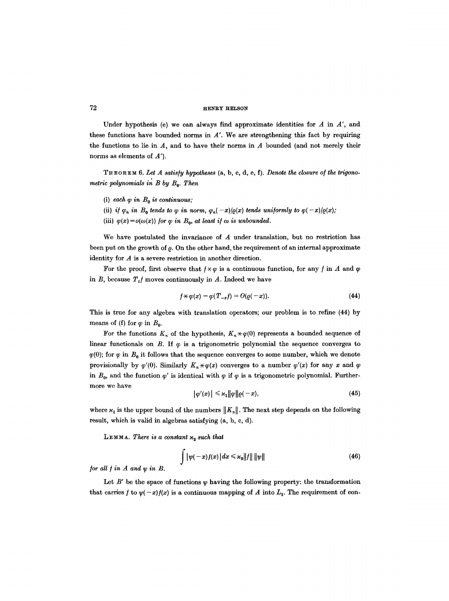Under hypothesis (e) we can always find approximate identities for  $A$  in  $A'$ , and these functions have bounded norms in  $A'$ . We are strengthening this fact by requiring the functions to lie in  $A$ , and to have their norms in  $A$  bounded (and not merely their norms as elements of  $A'$ ).

THEOREM **6.** *Let A satis/y hypotheses* **(a, b, c, d, e, f).** *Denote the closure o/the trigonometric polynomials in B by B*<sub>0</sub>. Then

- (i) each  $\varphi$  in  $B_0$  is continuous;
- (ii) *if*  $\varphi_n$  *in*  $B_0$  *tends to*  $\varphi$  *in norm,*  $\varphi_n(-x)/\varrho(x)$  *tends uniformly to*  $\varphi(-x)/\varrho(x)$ ;
- (iii)  $\varphi(x) = o(\omega(x))$  for  $\varphi$  in  $B_0$ , at least if  $\omega$  is unbounded.

We have postulated the invariance of A under translation, but no restriction has been put on the growth of  $\rho$ . On the other hand, the requirement of an internal approximate identity for A is a severe restriction in another direction.

For the proof, first observe that  $f \star \varphi$  is a continuous function, for any f in A and  $\varphi$ in B, because  $T_t f$  moves continuously in A. Indeed we have

$$
f \star \varphi(x) = \varphi(T_{-x}f) = O(\varrho(-x)). \tag{44}
$$

This is true for any algebra with translation operators; our problem is to refine (44) by means of (f) for  $\varphi$  in  $B_0$ .

For the functions  $K_n$  of the hypothesis,  $K_n \times \varphi(0)$  represents a bounded sequence of linear functionals on  $B$ . If  $\varphi$  is a trigonometric polynomial the sequence converges to  $\varphi(0)$ ; for  $\varphi$  in  $B_0$  it follows that the sequence converges to some number, which we denote provisionally by  $\varphi'(0)$ . Similarly  $K_n \times \varphi(x)$  converges to a number  $\varphi'(x)$  for any x and  $\varphi$ in  $B_0$ , and the function  $\varphi'$  is identical with  $\varphi$  if  $\varphi$  is a trigonometric polynomial. Furthermore we have

$$
\left|\varphi'(x)\right| \leqslant \varkappa_1 \|\varphi\| \varrho(-x),\tag{45}
$$

where  $x_1$  is the upper bound of the numbers  $||K_n||$ . The next step depends on the following result, which is valid in algebras satisfying (a, b, c, d).

LEMMA. There is a constant  $x_2$  such that

$$
\int |\psi(-x)f(x)| dx \leq x_2 ||f|| ||\psi|| \tag{46}
$$

*/or all / in A and y) in B.* 

Let  $B'$  be the space of functions  $\psi$  having the following property: the transformation that carries f to  $\psi(-x)/x$  is a continuous mapping of A into  $L_1$ . The requirement of con-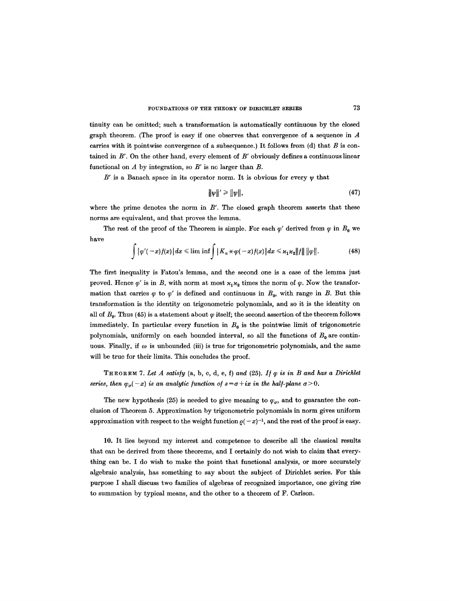tinuity can be omitted; such a transformation is automatically continuous by the closed graph theorem. (The proof is easy if one observes that convergence of a sequence in A carries with it pointwise convergence of a subsequence.) It follows from  $(d)$  that  $B$  is contained in  $B'$ . On the other hand, every element of  $B'$  obviously defines a continuous linear functional on A by integration, so *B'* is no larger than B.

B' is a Banach space in its operator norm. It is obvious for every  $\psi$  that

$$
\|\psi\|' \ge \|\psi\|,\tag{47}
$$

where the prime denotes the norm in  $B'$ . The closed graph theorem asserts that these norms are equivalent, and that proves the lemma.

The rest of the proof of the Theorem is simple. For each  $\varphi'$  derived from  $\varphi$  in  $B_0$  we have

$$
\int |\varphi'(-x)f(x)| dx \leq \liminf \int |K_n \times \varphi(-x)f(x)| dx \leq \kappa_1 \kappa_2 ||f|| ||\varphi||. \tag{48}
$$

The first inequality is Fatou's lemma, and the second one is a case of the lemma just proved. Hence  $\varphi'$  is in B, with norm at most  $\varkappa_1 \varkappa_2$  times the norm of  $\varphi$ . Now the transformation that carries  $\varphi$  to  $\varphi'$  is defined and continuous in  $B_0$ , with range in B. But this transformation is the identity on trigonometric polynomials, and so it is the identity on all of  $B<sub>0</sub>$ . Thus (45) is a statement about  $\varphi$  itself; the second assertion of the theorem follows immediately. In particular every function in  $B_0$  is the pointwise limit of trigonometric polynomials, uniformly on each bounded interval, so all the functions of  $B_0$  are continuous. Finally, if  $\omega$  is unbounded (iii) is true for trigonometric polynomials, and the same will be true for their limits. This concludes the proof.

THEOREM 7. Let  $A$  satisfy  $(a, b, c, d, e, f)$  and  $(25)$ . If  $\varphi$  is in  $B$  and has a Dirichlet *series, then*  $\varphi_{\sigma}(-x)$  *is an analytic function of*  $s = \sigma + ix$  *in the half-plane*  $\sigma > 0$ *.* 

The new hypothesis (25) is needed to give meaning to  $\varphi_{\sigma}$ , and to guarantee the conclusion of Theorem 5. Approximation by trigonometric polynomials in norm gives uniform approximation with respect to the weight function  $\varrho(-x)^{-1}$ , and the rest of the proof is easy.

10. It lies beyond my interest and competence to describe all the classical results that can be derived from these theorems, and I certainly do not wish to claim that everything can be. I do wish to make the point that functional analysis, or more accurately algebraic analysis, has something to say about the subject of Dirichiet series. For this purpose I shall discuss two families of algebras of recognized importance, one giving rise to summation by typical means, and the other to a theorem of F. Carlson.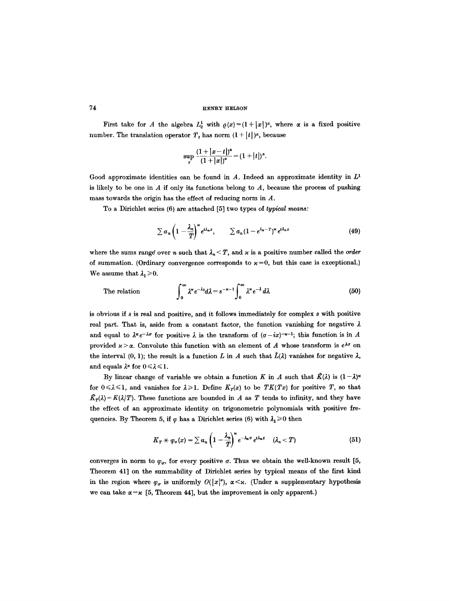First take for A the algebra  $L^1_{\varrho}$  with  $\rho(x)=(1+|x|)^{\alpha}$ , where  $\alpha$  is a fixed positive number. The translation operator  $T_t$  has norm  $(1 + |t|)^{\alpha}$ , because

$$
\sup_x \frac{(1+|x-t|)^{\alpha}}{(1+|x|)^{\alpha}} = (1+|t|)^{\alpha}.
$$

Good approximate identities can be found in  $A$ . Indeed an approximate identity in  $L<sup>1</sup>$ is likely to be one in  $A$  if only its functions belong to  $A$ , because the process of pushing mass towards the origin has the effect of reducing norm in A.

To a Dirichlet series (6) are attached [5] two types of *typical means:* 

$$
\sum a_n \left(1 - \frac{\lambda_n}{T}\right)^{\kappa} e^{i\lambda_n x}, \qquad \sum a_n (1 - e^{\lambda_n - T})^{\kappa} e^{i\lambda_n x} \tag{49}
$$

where the sums range over n such that  $\lambda_n < T$ , and  $\varkappa$  is a positive number called the *order* of summation. (Ordinary convergence corresponds to  $x=0$ , but this case is exceptional.) We assume that  $\lambda_1 \geq 0$ .

The relation 
$$
\int_0^\infty \lambda^* e^{-\lambda s} d\lambda = s^{-\kappa-1} \int_0^\infty \lambda^* e^{-\lambda} d\lambda
$$
 (50)

is obvious if  $s$  is real and positive, and it follows immediately for complex  $s$  with positive real part. That is, aside from a constant factor, the function vanishing for negative  $\lambda$ and equal to  $\lambda^x e^{-\lambda \sigma}$  for positive  $\lambda$  is the transform of  $(\sigma - ix)^{-x-1}$ ; this function is in A provided  $x > \alpha$ . Convolute this function with an element of A whose transform is  $e^{\lambda \sigma}$  on the interval (0, 1); the result is a function L in A such that  $\hat{L}(\lambda)$  vanishes for negative  $\lambda$ , and equals  $\lambda^*$  for  $0 \leq \lambda \leq 1$ .

By linear change of variable we obtain a function K in A such that  $\hat{K}(\lambda)$  is  $(1-\lambda)^{x}$ for  $0 \le \lambda \le 1$ , and vanishes for  $\lambda \ge 1$ . Define  $K_T(x)$  to be  $TK(Tx)$  for positive T, so that  $\hat{K}_{T}(\lambda) = K(\lambda/T)$ . These functions are bounded in A as T tends to infinity, and they have the effect of an approximate identity on trigonometric polynomials with positive frequencies. By Theorem 5, if  $\varphi$  has a Dirichlet series (6) with  $\lambda_1 \geq 0$  then

$$
K_T \times \varphi_{\sigma}(x) = \sum a_n \left(1 - \frac{\lambda_n}{T}\right)^{\kappa} e^{-\lambda_n \sigma} e^{i\lambda_n x} \quad (\lambda_n < T) \tag{51}
$$

converges in norm to  $\varphi_{\sigma}$ , for every positive  $\sigma$ . Thus we obtain the well-known result [5, Theorem 41] on the summability of Dirichlet series by typical means of the first kind in the region where  $\varphi_{\sigma}$  is uniformly  $O(|x|^{\alpha})$ ,  $\alpha \leq \kappa$ . (Under a supplementary hypothesis we can take  $\alpha = \kappa$  [5, Theorem 44], but the improvement is only apparent.)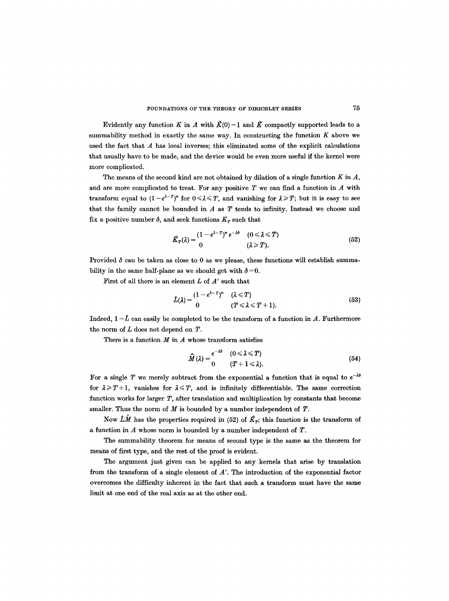Evidently any function K in A with  $\hat{K}(0)=1$  and  $\hat{K}$  compactly supported leads to a summability method in exactly the same way. In constructing the function  $K$  above we used the fact that  $A$  has local inverses; this eliminated some of the explicit calculations that usually have to be made, and the device would be even more useful if the kernel were more complicated.

The means of the second kind are not obtained by dilation of a single function  $K$  in  $A$ , and are more complicated to treat. For any positive  $T$  we can find a function in  $A$  with transform equal to  $(1-e^{\lambda-T})^*$  for  $0 \le \lambda \le T$ , and vanishing for  $\lambda \ge T$ ; but it is easy to see that the family cannot be bounded in  $A$  as  $T$  tends to infinity. Instead we choose and fix a positive number  $\delta$ , and seek functions  $K_T$  such that

$$
\hat{K}_T(\lambda) = \begin{cases} (1 - e^{\lambda - T})^{\kappa} e^{-\lambda \delta} & (0 \le \lambda \le T) \\ 0 & (\lambda \ge T). \end{cases}
$$
(52)

Provided  $\delta$  can be taken as close to 0 as we please, these functions will establish summability in the same half-plane as we should get with  $\delta = 0$ .

First of all there is an element L of *A'* such that

$$
\hat{L}(\lambda) = \frac{(1 - e^{\lambda - T})^{\kappa}}{0} \quad (\lambda \leq T)
$$
\n
$$
(T \leq \lambda \leq T + 1).
$$
\n(53)

Indeed,  $1 - \hat{L}$  can easily be completed to be the transform of a function in A. Furthermore the norm of  $L$  does not depend on  $T$ .

There is a function  $M$  in  $A$  whose transform satisfies

$$
\widehat{M}(\lambda) = \begin{cases}\ne^{-\lambda \delta} & (0 \le \lambda \le T) \\
0 & (T+1 \le \lambda).\n\end{cases}
$$
\n(54)

For a single T we merely subtract from the exponential a function that is equal to  $e^{-\lambda\phi}$ for  $\lambda \geq T+1$ , vanishes for  $\lambda \leq T$ , and is infinitely differentiable. The same correction function works for larger  $T$ , after translation and multiplication by constants that become smaller. Thus the norm of  $M$  is bounded by a number independent of  $T$ .

Now  $\hat{L}\hat{M}$  has the properties required in (52) of  $\hat{K}_{T}$ ; this function is the transform of a function in  $A$  whose norm is bounded by a number independent of  $T$ .

The summability theorem for means of second type is the same as the theorem for means of first type, and the rest of the proof is evident.

The argument just given can be applied to any kernels that arise by translation from the transform of a single element of *A'.* The introduction of the exponential factor overcomes the difficulty inherent in the fact that such a transform must have the same limit at one end of the real axis as at the other end.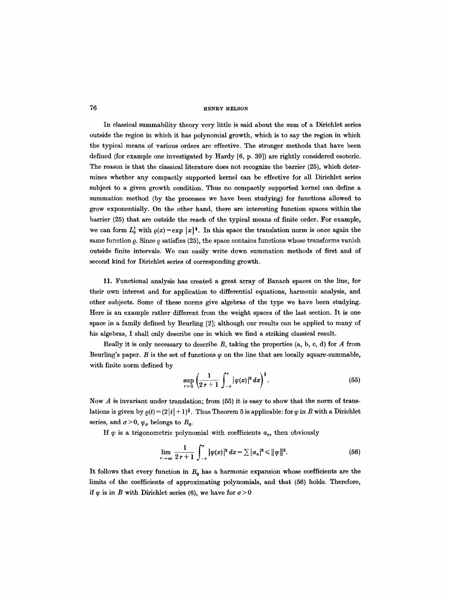In classical summability theory very little is said about the sum of a Dirichlet series outside the region in which it has polynomial growth, which is to say the region in which the typical means of various orders are effective. The stronger methods that have been defined (for example one investigated by Hardy [6, p. 39]) are rightly considered esoteric. The reason is that the classical literature does not recognize the barrier (25), which determines whether any compactly supported kernel can be effective for all Dirichlet series subject to a given growth condition. Thus no compactly supported kernel can define a summation method (by the processes we have been studying) for functions allowed to grow exponentially. On the other hand, there are interesting function spaces within the barrier (25) that are outside the reach of the typical means of finite order. For example, we can form  $L^1_{\rho}$  with  $\rho(x)=\exp |x|^{\frac{1}{2}}$ . In this space the translation norm is once again the same function  $\rho$ . Since  $\rho$  satisfies (25), the space contains functions whose transforms vanish outside finite intervals. We can easily write down summation methods of first and of second kind for Dirichlet series of corresponding growth.

11. Functional analysis has created a great array of Banach spaces on the line, for their own interest and for application to differential equations, harmonic analysis, and other subjects. Some of these norms give algebras of the type we have been studying. Here is an example rather different from the weight spaces of the last section. It is one space in a family defined by Beurling [2]; although our results can be applied to many of his algebras, I shall only describe one in which we find a striking classical result.

Really it is only necessary to describe  $B$ , taking the properties  $(a, b, c, d)$  for  $A$  from Beurling's paper. B is the set of functions  $\varphi$  on the line that are locally square-summable, with finite norm defined by

$$
\sup_{r>0}\left(\frac{1}{2r+1}\int_{-r}^{r}|\varphi(x)|^{2} dx\right)^{\frac{1}{2}}.
$$
 (55)

Now  $A$  is invariant under translation; from  $(55)$  it is easy to show that the norm of translations is given by  $\varrho(t) = (2|t| + 1)^{\frac{1}{2}}$ . Thus Theorem 5 is applicable: for  $\varphi$  in B with a Dirichlet series, and  $\sigma > 0$ ,  $\varphi_{\sigma}$  belongs to  $B_0$ .

If  $\varphi$  is a trigonometric polynomial with coefficients  $a_n$ , then obviously

$$
\lim_{r \to \infty} \frac{1}{2r+1} \int_{-r}^{r} |\varphi(x)|^2 dx = \sum |a_n|^2 \le ||\varphi||^2.
$$
 (56)

It follows that every function in  $B_0$  has a harmonic expansion whose coefficients are the limits of the coefficients of approximating polynomials, and that (56) holds. Therefore, if  $\varphi$  is in B with Dirichlet series (6), we have for  $\sigma > 0$